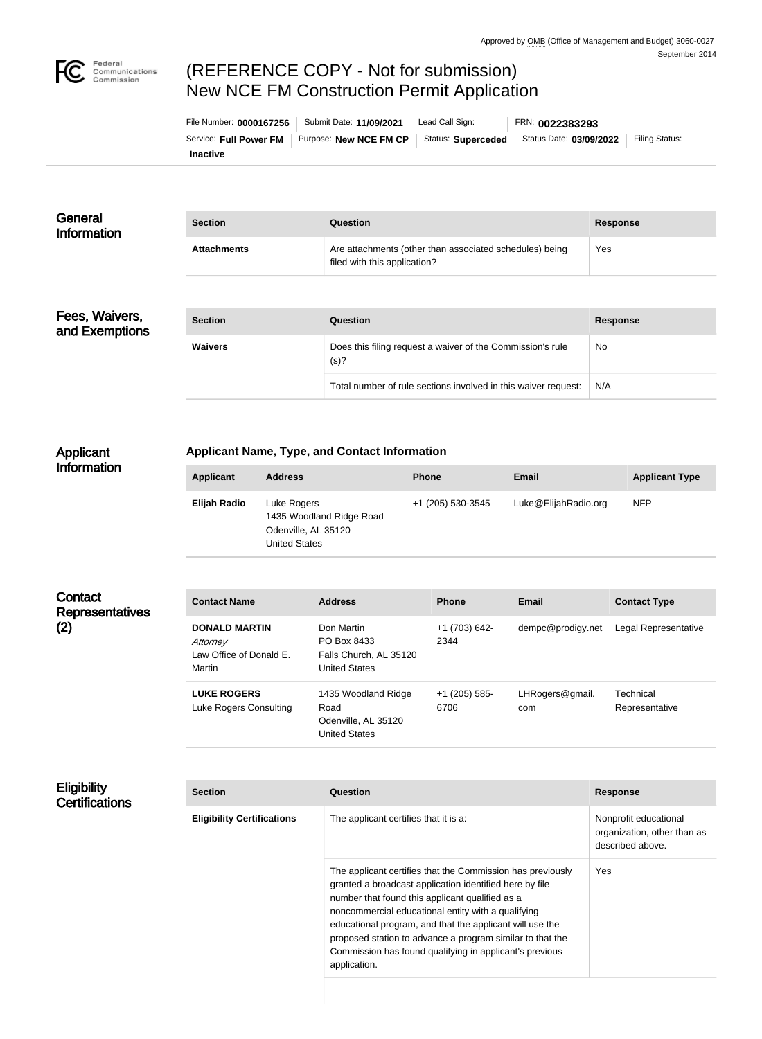

# (REFERENCE COPY - Not for submission) New NCE FM Construction Permit Application

| File Number: 0000167256 | Submit Date: 11/09/2021 | Lead Call Sign:    | FRN: 0022383293         |                |
|-------------------------|-------------------------|--------------------|-------------------------|----------------|
| Service: Full Power FM  | Purpose: New NCE FM CP  | Status: Superceded | Status Date: 03/09/2022 | Filing Status: |
| <b>Inactive</b>         |                         |                    |                         |                |

| General<br>Information | <b>Section</b>     | Question                                                                                | Response |
|------------------------|--------------------|-----------------------------------------------------------------------------------------|----------|
|                        | <b>Attachments</b> | Are attachments (other than associated schedules) being<br>filed with this application? | Yes      |
|                        |                    |                                                                                         |          |

#### Fees, Waivers, and Exemptions

| <b>Section</b> | Question                                                           | <b>Response</b> |
|----------------|--------------------------------------------------------------------|-----------------|
| <b>Waivers</b> | Does this filing request a waiver of the Commission's rule<br>(s)? | <b>No</b>       |
|                | Total number of rule sections involved in this waiver request:     | N/A             |

#### Applicant Information

## **Applicant Name, Type, and Contact Information**

| Applicant    | <b>Address</b>                                                                         | <b>Phone</b>      | Email                | <b>Applicant Type</b> |
|--------------|----------------------------------------------------------------------------------------|-------------------|----------------------|-----------------------|
| Elijah Radio | Luke Rogers<br>1435 Woodland Ridge Road<br>Odenville, AL 35120<br><b>United States</b> | +1 (205) 530-3545 | Luke@ElijahRadio.org | <b>NFP</b>            |

### **Contact Representatives** (2)

| <b>Contact Name</b>                                                   | <b>Address</b>                                                              | <b>Phone</b>          | Email                  | <b>Contact Type</b>         |
|-----------------------------------------------------------------------|-----------------------------------------------------------------------------|-----------------------|------------------------|-----------------------------|
| <b>DONALD MARTIN</b><br>Attorney<br>Law Office of Donald E.<br>Martin | Don Martin<br>PO Box 8433<br>Falls Church, AL 35120<br><b>United States</b> | +1 (703) 642-<br>2344 | dempc@prodigy.net      | Legal Representative        |
| <b>LUKE ROGERS</b><br>Luke Rogers Consulting                          | 1435 Woodland Ridge<br>Road<br>Odenville, AL 35120<br><b>United States</b>  | +1 (205) 585-<br>6706 | LHRogers@gmail.<br>com | Technical<br>Representative |

#### **Eligibility Certifications**

| <b>Section</b>                    | Question                                                                                                                                                                                                                                                                                                                                                                                                                           | <b>Response</b>                                                          |
|-----------------------------------|------------------------------------------------------------------------------------------------------------------------------------------------------------------------------------------------------------------------------------------------------------------------------------------------------------------------------------------------------------------------------------------------------------------------------------|--------------------------------------------------------------------------|
| <b>Eligibility Certifications</b> | The applicant certifies that it is a:                                                                                                                                                                                                                                                                                                                                                                                              | Nonprofit educational<br>organization, other than as<br>described above. |
|                                   | The applicant certifies that the Commission has previously<br>granted a broadcast application identified here by file<br>number that found this applicant qualified as a<br>noncommercial educational entity with a qualifying<br>educational program, and that the applicant will use the<br>proposed station to advance a program similar to that the<br>Commission has found qualifying in applicant's previous<br>application. | Yes                                                                      |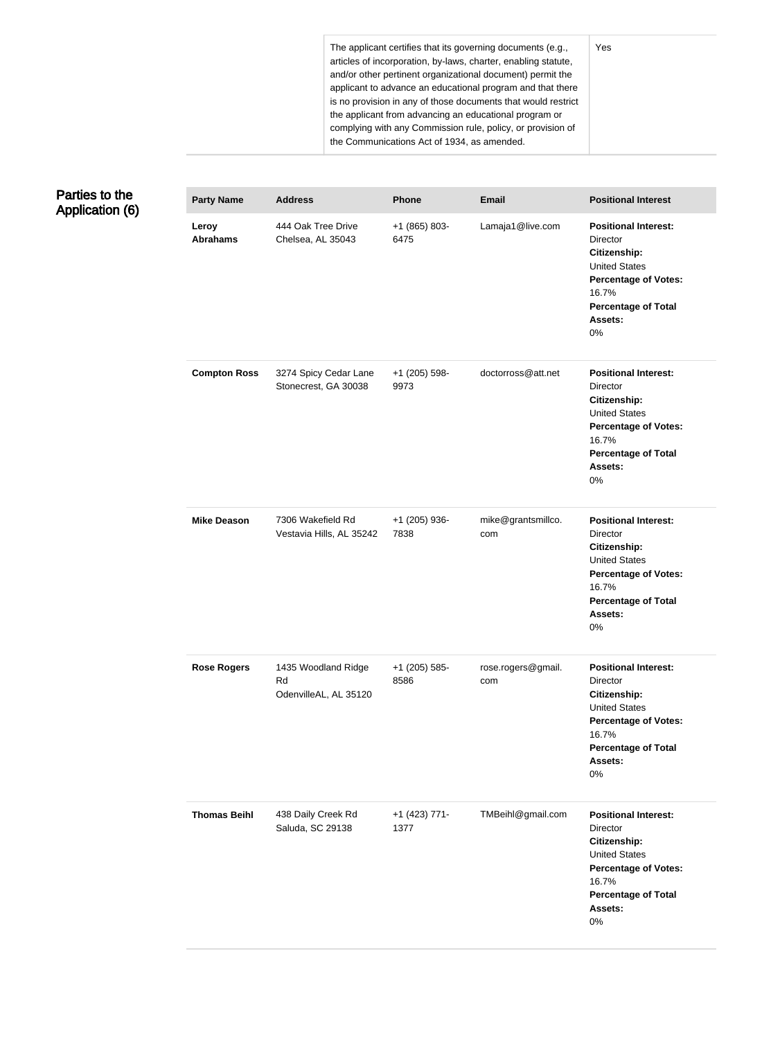The applicant certifies that its governing documents (e.g., articles of incorporation, by-laws, charter, enabling statute, and/or other pertinent organizational document) permit the applicant to advance an educational program and that there is no provision in any of those documents that would restrict the applicant from advancing an educational program or complying with any Commission rule, policy, or provision of the Communications Act of 1934, as amended.

## Parties to the Application (6)

| <b>Party Name</b>        | <b>Address</b>                                     | <b>Phone</b>          | <b>Email</b>              | <b>Positional Interest</b>                                                                                                                                                       |
|--------------------------|----------------------------------------------------|-----------------------|---------------------------|----------------------------------------------------------------------------------------------------------------------------------------------------------------------------------|
| Leroy<br><b>Abrahams</b> | 444 Oak Tree Drive<br>Chelsea, AL 35043            | +1 (865) 803-<br>6475 | Lamaja1@live.com          | <b>Positional Interest:</b><br><b>Director</b><br>Citizenship:<br><b>United States</b><br><b>Percentage of Votes:</b><br>16.7%<br><b>Percentage of Total</b><br>Assets:<br>$0\%$ |
| <b>Compton Ross</b>      | 3274 Spicy Cedar Lane<br>Stonecrest, GA 30038      | +1 (205) 598-<br>9973 | doctorross@att.net        | <b>Positional Interest:</b><br><b>Director</b><br>Citizenship:<br><b>United States</b><br><b>Percentage of Votes:</b><br>16.7%<br><b>Percentage of Total</b><br>Assets:<br>0%    |
| <b>Mike Deason</b>       | 7306 Wakefield Rd<br>Vestavia Hills, AL 35242      | +1 (205) 936-<br>7838 | mike@grantsmillco.<br>com | <b>Positional Interest:</b><br>Director<br>Citizenship:<br><b>United States</b><br><b>Percentage of Votes:</b><br>16.7%<br><b>Percentage of Total</b><br>Assets:<br>$0\%$        |
| <b>Rose Rogers</b>       | 1435 Woodland Ridge<br>Rd<br>OdenvilleAL, AL 35120 | +1 (205) 585-<br>8586 | rose.rogers@gmail.<br>com | <b>Positional Interest:</b><br><b>Director</b><br>Citizenship:<br><b>United States</b><br><b>Percentage of Votes:</b><br>16.7%<br><b>Percentage of Total</b><br>Assets:<br>0%    |
| <b>Thomas Beihl</b>      | 438 Daily Creek Rd<br>Saluda, SC 29138             | +1 (423) 771-<br>1377 | TMBeihl@gmail.com         | <b>Positional Interest:</b><br>Director<br>Citizenship:<br><b>United States</b><br><b>Percentage of Votes:</b><br>16.7%<br><b>Percentage of Total</b><br>Assets:<br>0%           |

Yes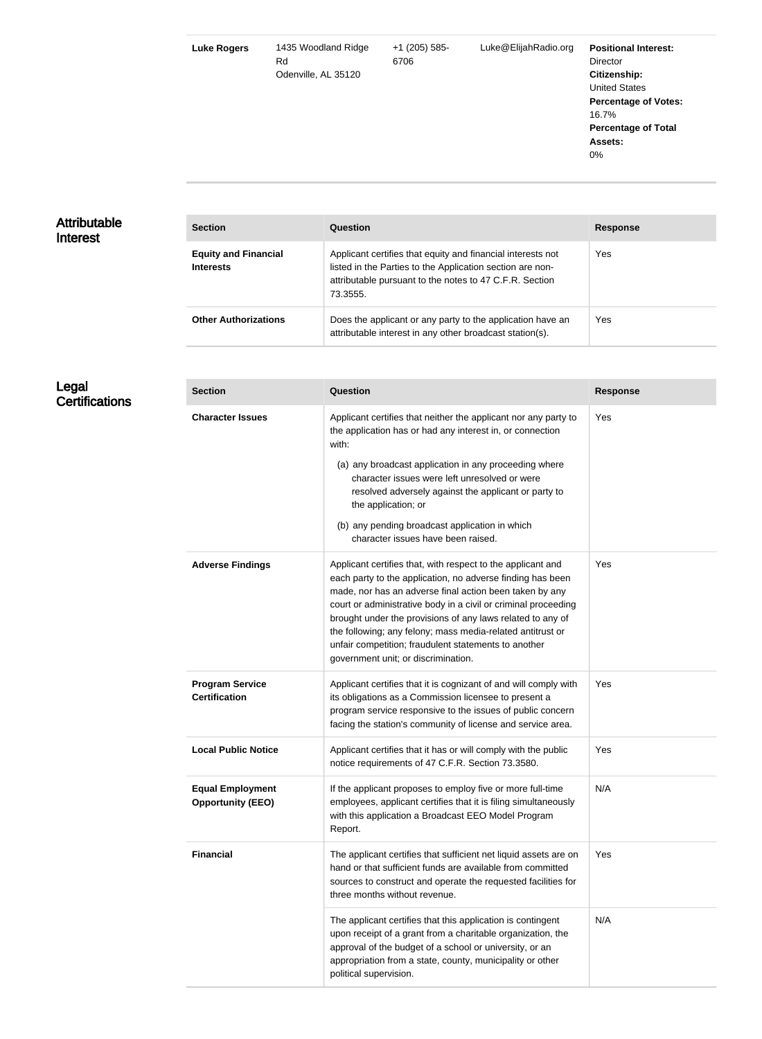| <b>Luke Rogers</b> | 1435 Woodland Ridge<br>Rd<br>Odenville, AL 35120 | $+1$ (205) 585-<br>6706 | Luke@ElijahRadio.org | <b>Positional Interest:</b><br><b>Director</b><br>Citizenship:<br><b>United States</b><br><b>Percentage of Votes:</b><br>16.7%<br><b>Percentage of Total</b><br>Assets: |
|--------------------|--------------------------------------------------|-------------------------|----------------------|-------------------------------------------------------------------------------------------------------------------------------------------------------------------------|
|                    |                                                  |                         |                      | $0\%$                                                                                                                                                                   |
|                    |                                                  |                         |                      |                                                                                                                                                                         |

#### Attributable Interest

| <b>Section</b>                                  | Question                                                                                                                                                                                        | <b>Response</b> |
|-------------------------------------------------|-------------------------------------------------------------------------------------------------------------------------------------------------------------------------------------------------|-----------------|
| <b>Equity and Financial</b><br><b>Interests</b> | Applicant certifies that equity and financial interests not<br>listed in the Parties to the Application section are non-<br>attributable pursuant to the notes to 47 C.F.R. Section<br>73.3555. | Yes             |
| <b>Other Authorizations</b>                     | Does the applicant or any party to the application have an<br>attributable interest in any other broadcast station(s).                                                                          | Yes             |

Legal **Certifications** 

| <b>Section</b>                                      | Question                                                                                                                                                                                                                                                                                                                                                                                                                                                                          | <b>Response</b> |
|-----------------------------------------------------|-----------------------------------------------------------------------------------------------------------------------------------------------------------------------------------------------------------------------------------------------------------------------------------------------------------------------------------------------------------------------------------------------------------------------------------------------------------------------------------|-----------------|
| <b>Character Issues</b>                             | Applicant certifies that neither the applicant nor any party to<br>the application has or had any interest in, or connection<br>with:                                                                                                                                                                                                                                                                                                                                             | Yes             |
|                                                     | (a) any broadcast application in any proceeding where<br>character issues were left unresolved or were<br>resolved adversely against the applicant or party to<br>the application; or                                                                                                                                                                                                                                                                                             |                 |
|                                                     | (b) any pending broadcast application in which<br>character issues have been raised.                                                                                                                                                                                                                                                                                                                                                                                              |                 |
| <b>Adverse Findings</b>                             | Applicant certifies that, with respect to the applicant and<br>each party to the application, no adverse finding has been<br>made, nor has an adverse final action been taken by any<br>court or administrative body in a civil or criminal proceeding<br>brought under the provisions of any laws related to any of<br>the following; any felony; mass media-related antitrust or<br>unfair competition; fraudulent statements to another<br>government unit; or discrimination. | Yes             |
| <b>Program Service</b><br><b>Certification</b>      | Applicant certifies that it is cognizant of and will comply with<br>its obligations as a Commission licensee to present a<br>program service responsive to the issues of public concern<br>facing the station's community of license and service area.                                                                                                                                                                                                                            | Yes             |
| <b>Local Public Notice</b>                          | Applicant certifies that it has or will comply with the public<br>notice requirements of 47 C.F.R. Section 73.3580.                                                                                                                                                                                                                                                                                                                                                               | Yes             |
| <b>Equal Employment</b><br><b>Opportunity (EEO)</b> | If the applicant proposes to employ five or more full-time<br>employees, applicant certifies that it is filing simultaneously<br>with this application a Broadcast EEO Model Program<br>Report.                                                                                                                                                                                                                                                                                   | N/A             |
| <b>Financial</b>                                    | The applicant certifies that sufficient net liquid assets are on<br>hand or that sufficient funds are available from committed<br>sources to construct and operate the requested facilities for<br>three months without revenue.                                                                                                                                                                                                                                                  | Yes             |
|                                                     | The applicant certifies that this application is contingent<br>upon receipt of a grant from a charitable organization, the<br>approval of the budget of a school or university, or an<br>appropriation from a state, county, municipality or other<br>political supervision.                                                                                                                                                                                                      | N/A             |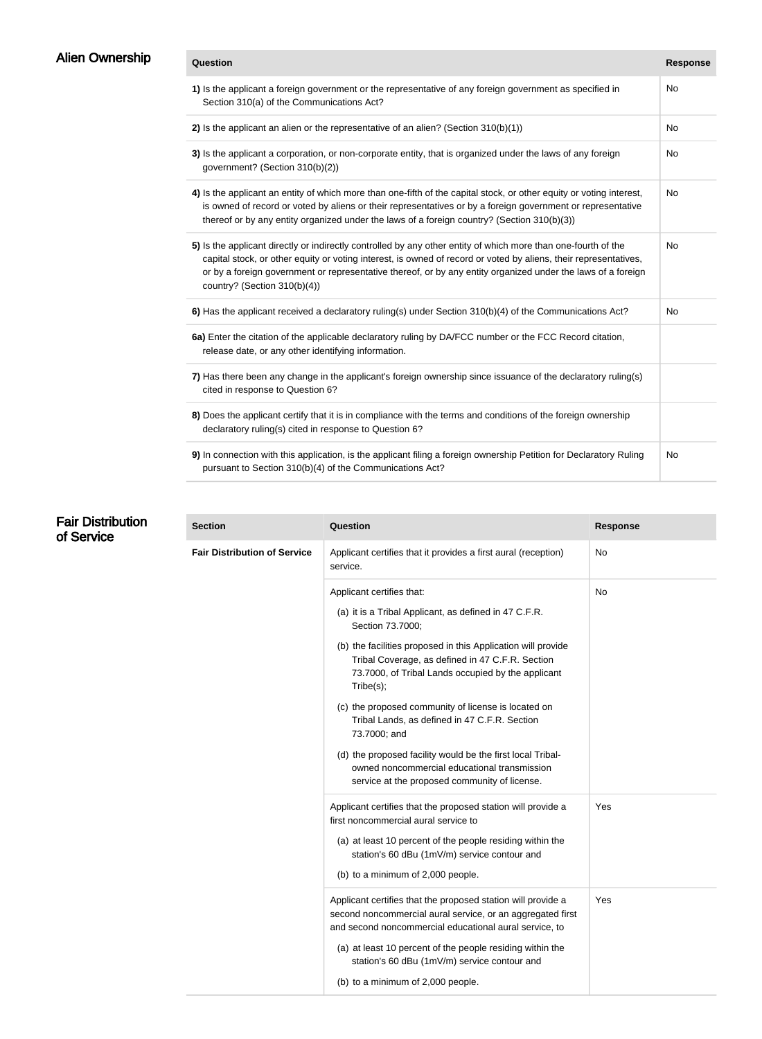| Alien Ownership |  |
|-----------------|--|
|                 |  |

| Alien Ownership | Question                                                                                                                                                                                                                                                                                                                                                                              | <b>Response</b> |
|-----------------|---------------------------------------------------------------------------------------------------------------------------------------------------------------------------------------------------------------------------------------------------------------------------------------------------------------------------------------------------------------------------------------|-----------------|
|                 | 1) Is the applicant a foreign government or the representative of any foreign government as specified in<br>Section 310(a) of the Communications Act?                                                                                                                                                                                                                                 | No              |
|                 | 2) Is the applicant an alien or the representative of an alien? (Section $310(b)(1)$ )                                                                                                                                                                                                                                                                                                | No              |
|                 | 3) Is the applicant a corporation, or non-corporate entity, that is organized under the laws of any foreign<br>government? (Section 310(b)(2))                                                                                                                                                                                                                                        | No              |
|                 | 4) Is the applicant an entity of which more than one-fifth of the capital stock, or other equity or voting interest,<br>is owned of record or voted by aliens or their representatives or by a foreign government or representative<br>thereof or by any entity organized under the laws of a foreign country? (Section 310(b)(3))                                                    | No              |
|                 | 5) Is the applicant directly or indirectly controlled by any other entity of which more than one-fourth of the<br>capital stock, or other equity or voting interest, is owned of record or voted by aliens, their representatives,<br>or by a foreign government or representative thereof, or by any entity organized under the laws of a foreign<br>country? (Section $310(b)(4)$ ) | No              |
|                 | 6) Has the applicant received a declaratory ruling(s) under Section 310(b)(4) of the Communications Act?                                                                                                                                                                                                                                                                              | No              |
|                 | 6a) Enter the citation of the applicable declaratory ruling by DA/FCC number or the FCC Record citation,<br>release date, or any other identifying information.                                                                                                                                                                                                                       |                 |
|                 | 7) Has there been any change in the applicant's foreign ownership since issuance of the declaratory ruling(s)<br>cited in response to Question 6?                                                                                                                                                                                                                                     |                 |
|                 | 8) Does the applicant certify that it is in compliance with the terms and conditions of the foreign ownership<br>declaratory ruling(s) cited in response to Question 6?                                                                                                                                                                                                               |                 |
|                 | 9) In connection with this application, is the applicant filing a foreign ownership Petition for Declaratory Ruling<br>pursuant to Section 310(b)(4) of the Communications Act?                                                                                                                                                                                                       | No              |

| <b>Fair Distribution</b><br>of Service | <b>Section</b>                      | Question                                                                                                                                                                                                          | <b>Response</b> |
|----------------------------------------|-------------------------------------|-------------------------------------------------------------------------------------------------------------------------------------------------------------------------------------------------------------------|-----------------|
|                                        | <b>Fair Distribution of Service</b> | Applicant certifies that it provides a first aural (reception)<br>service.                                                                                                                                        | No              |
|                                        |                                     | Applicant certifies that:                                                                                                                                                                                         | <b>No</b>       |
|                                        |                                     | (a) it is a Tribal Applicant, as defined in 47 C.F.R.<br>Section 73.7000;                                                                                                                                         |                 |
|                                        |                                     | (b) the facilities proposed in this Application will provide<br>Tribal Coverage, as defined in 47 C.F.R. Section<br>73.7000, of Tribal Lands occupied by the applicant<br>Tribe(s);                               |                 |
|                                        |                                     | (c) the proposed community of license is located on<br>Tribal Lands, as defined in 47 C.F.R. Section<br>73.7000; and                                                                                              |                 |
|                                        |                                     | (d) the proposed facility would be the first local Tribal-<br>owned noncommercial educational transmission<br>service at the proposed community of license.                                                       |                 |
|                                        |                                     | Applicant certifies that the proposed station will provide a<br>first noncommercial aural service to<br>(a) at least 10 percent of the people residing within the<br>station's 60 dBu (1mV/m) service contour and | <b>Yes</b>      |
|                                        |                                     | (b) to a minimum of 2,000 people.                                                                                                                                                                                 |                 |
|                                        |                                     | Applicant certifies that the proposed station will provide a<br>second noncommercial aural service, or an aggregated first<br>and second noncommercial educational aural service, to                              | Yes             |
|                                        |                                     | (a) at least 10 percent of the people residing within the<br>station's 60 dBu (1mV/m) service contour and                                                                                                         |                 |
|                                        |                                     | (b) to a minimum of 2,000 people.                                                                                                                                                                                 |                 |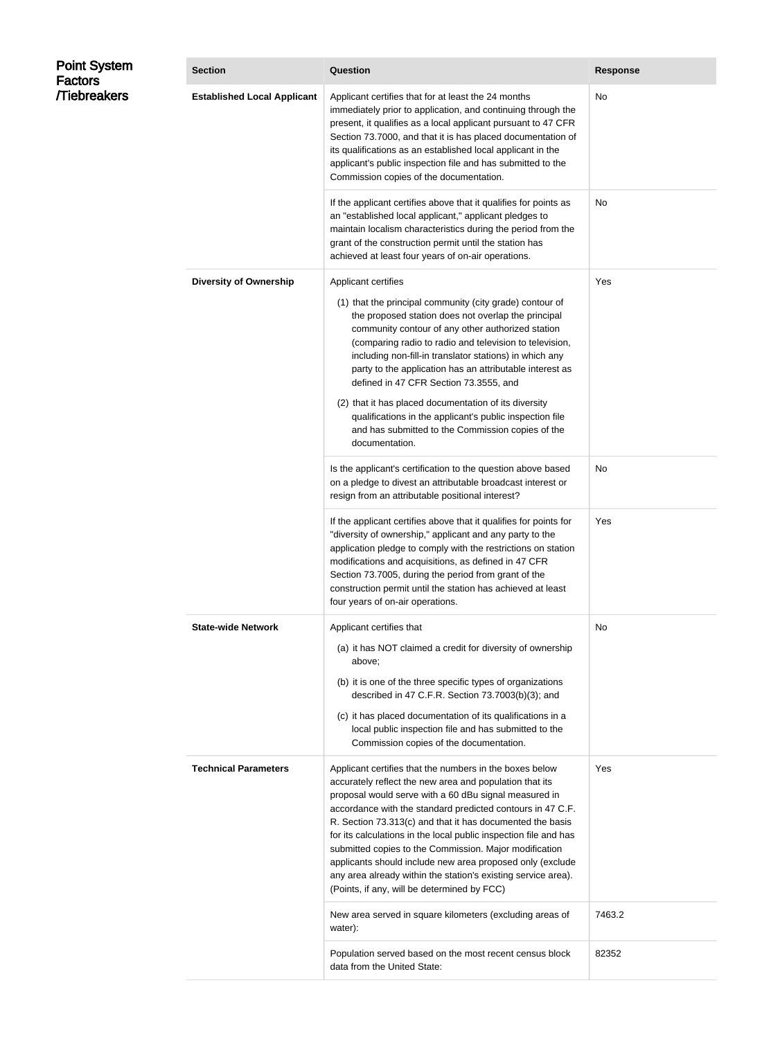| <b>Point System</b><br>Factors | <b>Section</b>                     | <b>Question</b>                                                                                                                                                                                                                                                                                                                                                                                                                                                                                                                                                                                                     | <b>Response</b> |
|--------------------------------|------------------------------------|---------------------------------------------------------------------------------------------------------------------------------------------------------------------------------------------------------------------------------------------------------------------------------------------------------------------------------------------------------------------------------------------------------------------------------------------------------------------------------------------------------------------------------------------------------------------------------------------------------------------|-----------------|
| <b>Tiebreakers</b>             | <b>Established Local Applicant</b> | Applicant certifies that for at least the 24 months<br>immediately prior to application, and continuing through the<br>present, it qualifies as a local applicant pursuant to 47 CFR<br>Section 73.7000, and that it is has placed documentation of<br>its qualifications as an established local applicant in the<br>applicant's public inspection file and has submitted to the<br>Commission copies of the documentation.                                                                                                                                                                                        | No              |
|                                |                                    | If the applicant certifies above that it qualifies for points as<br>an "established local applicant," applicant pledges to<br>maintain localism characteristics during the period from the<br>grant of the construction permit until the station has<br>achieved at least four years of on-air operations.                                                                                                                                                                                                                                                                                                          | No              |
|                                | <b>Diversity of Ownership</b>      | Applicant certifies<br>(1) that the principal community (city grade) contour of<br>the proposed station does not overlap the principal<br>community contour of any other authorized station<br>(comparing radio to radio and television to television,<br>including non-fill-in translator stations) in which any<br>party to the application has an attributable interest as<br>defined in 47 CFR Section 73.3555, and<br>(2) that it has placed documentation of its diversity<br>qualifications in the applicant's public inspection file<br>and has submitted to the Commission copies of the<br>documentation. | Yes             |
|                                |                                    | Is the applicant's certification to the question above based<br>on a pledge to divest an attributable broadcast interest or<br>resign from an attributable positional interest?                                                                                                                                                                                                                                                                                                                                                                                                                                     | No              |
|                                |                                    | If the applicant certifies above that it qualifies for points for<br>"diversity of ownership," applicant and any party to the<br>application pledge to comply with the restrictions on station<br>modifications and acquisitions, as defined in 47 CFR<br>Section 73.7005, during the period from grant of the<br>construction permit until the station has achieved at least<br>four years of on-air operations.                                                                                                                                                                                                   | Yes             |
|                                | <b>State-wide Network</b>          | Applicant certifies that<br>(a) it has NOT claimed a credit for diversity of ownership<br>above;<br>(b) it is one of the three specific types of organizations<br>described in 47 C.F.R. Section 73.7003(b)(3); and<br>(c) it has placed documentation of its qualifications in a<br>local public inspection file and has submitted to the<br>Commission copies of the documentation.                                                                                                                                                                                                                               | No              |
|                                | <b>Technical Parameters</b>        | Applicant certifies that the numbers in the boxes below<br>accurately reflect the new area and population that its<br>proposal would serve with a 60 dBu signal measured in<br>accordance with the standard predicted contours in 47 C.F.<br>R. Section 73.313(c) and that it has documented the basis<br>for its calculations in the local public inspection file and has<br>submitted copies to the Commission. Major modification<br>applicants should include new area proposed only (exclude<br>any area already within the station's existing service area).<br>(Points, if any, will be determined by FCC)   | <b>Yes</b>      |
|                                |                                    | New area served in square kilometers (excluding areas of<br>water):                                                                                                                                                                                                                                                                                                                                                                                                                                                                                                                                                 | 7463.2          |
|                                |                                    | Population served based on the most recent census block<br>data from the United State:                                                                                                                                                                                                                                                                                                                                                                                                                                                                                                                              | 82352           |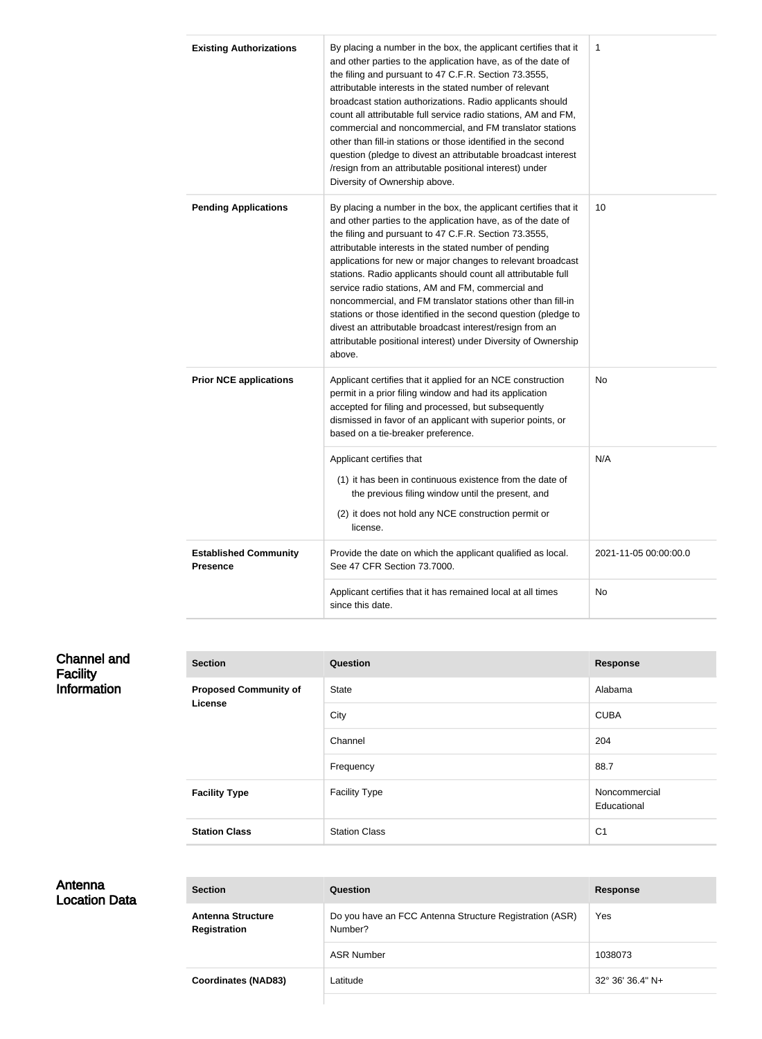| <b>Existing Authorizations</b>                  | By placing a number in the box, the applicant certifies that it<br>and other parties to the application have, as of the date of<br>the filing and pursuant to 47 C.F.R. Section 73.3555,<br>attributable interests in the stated number of relevant<br>broadcast station authorizations. Radio applicants should<br>count all attributable full service radio stations, AM and FM,<br>commercial and noncommercial, and FM translator stations<br>other than fill-in stations or those identified in the second<br>question (pledge to divest an attributable broadcast interest<br>/resign from an attributable positional interest) under<br>Diversity of Ownership above.                                      | 1                     |
|-------------------------------------------------|-------------------------------------------------------------------------------------------------------------------------------------------------------------------------------------------------------------------------------------------------------------------------------------------------------------------------------------------------------------------------------------------------------------------------------------------------------------------------------------------------------------------------------------------------------------------------------------------------------------------------------------------------------------------------------------------------------------------|-----------------------|
| <b>Pending Applications</b>                     | By placing a number in the box, the applicant certifies that it<br>and other parties to the application have, as of the date of<br>the filing and pursuant to 47 C.F.R. Section 73.3555,<br>attributable interests in the stated number of pending<br>applications for new or major changes to relevant broadcast<br>stations. Radio applicants should count all attributable full<br>service radio stations, AM and FM, commercial and<br>noncommercial, and FM translator stations other than fill-in<br>stations or those identified in the second question (pledge to<br>divest an attributable broadcast interest/resign from an<br>attributable positional interest) under Diversity of Ownership<br>above. | 10                    |
| <b>Prior NCE applications</b>                   | Applicant certifies that it applied for an NCE construction<br>permit in a prior filing window and had its application<br>accepted for filing and processed, but subsequently<br>dismissed in favor of an applicant with superior points, or<br>based on a tie-breaker preference.                                                                                                                                                                                                                                                                                                                                                                                                                                | No                    |
|                                                 | Applicant certifies that<br>(1) it has been in continuous existence from the date of<br>the previous filing window until the present, and<br>(2) it does not hold any NCE construction permit or<br>license.                                                                                                                                                                                                                                                                                                                                                                                                                                                                                                      | N/A                   |
| <b>Established Community</b><br><b>Presence</b> | Provide the date on which the applicant qualified as local.<br>See 47 CFR Section 73.7000.                                                                                                                                                                                                                                                                                                                                                                                                                                                                                                                                                                                                                        | 2021-11-05 00:00:00.0 |
|                                                 | Applicant certifies that it has remained local at all times<br>since this date.                                                                                                                                                                                                                                                                                                                                                                                                                                                                                                                                                                                                                                   | No                    |

| <b>Channel and</b><br><b>Facility</b> | <b>Section</b>                          | <b>Question</b>      | <b>Response</b>              |
|---------------------------------------|-----------------------------------------|----------------------|------------------------------|
| <b>Information</b>                    | <b>Proposed Community of</b><br>License | State                | Alabama                      |
|                                       |                                         | City                 | <b>CUBA</b>                  |
|                                       |                                         | Channel              | 204                          |
|                                       |                                         | Frequency            | 88.7                         |
|                                       | <b>Facility Type</b>                    | <b>Facility Type</b> | Noncommercial<br>Educational |
|                                       | <b>Station Class</b>                    | <b>Station Class</b> | C <sub>1</sub>               |

#### Antenna Location Data

| <b>Section</b>                                  | <b>Question</b>                                                    | <b>Response</b>  |
|-------------------------------------------------|--------------------------------------------------------------------|------------------|
| <b>Antenna Structure</b><br><b>Registration</b> | Do you have an FCC Antenna Structure Registration (ASR)<br>Number? | Yes              |
|                                                 | <b>ASR Number</b>                                                  | 1038073          |
| <b>Coordinates (NAD83)</b>                      | Latitude                                                           | 32° 36′ 36.4″ N+ |
|                                                 |                                                                    |                  |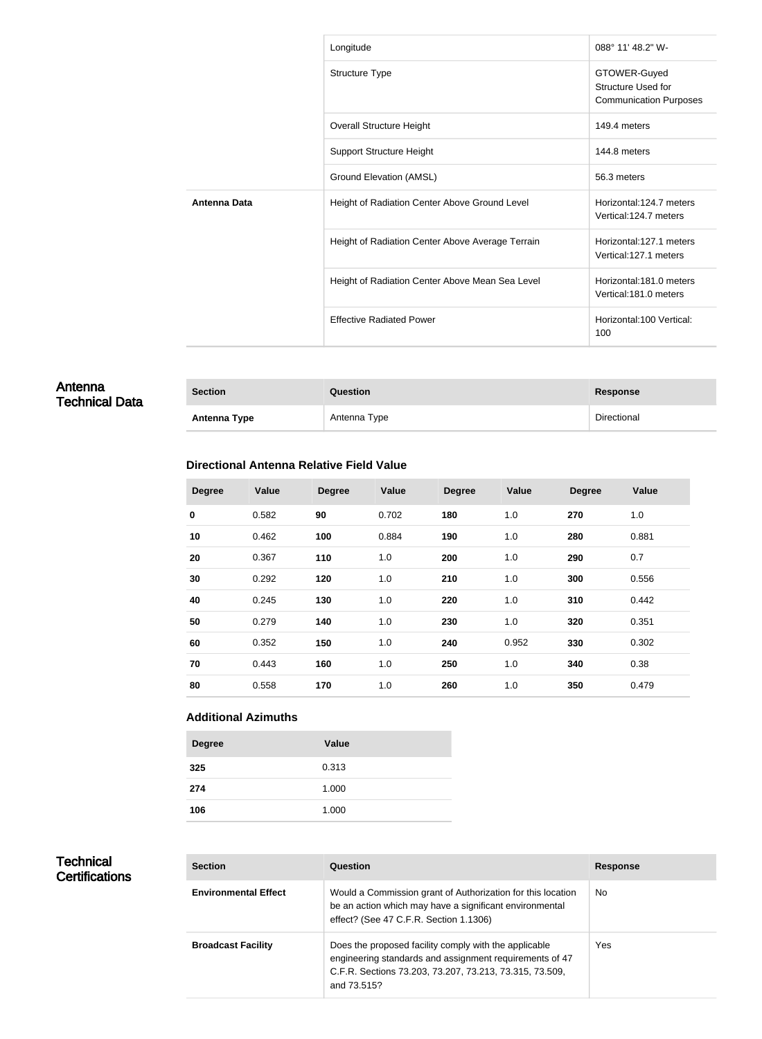|                     | Longitude                                        | 088° 11' 48.2" W-                                                   |
|---------------------|--------------------------------------------------|---------------------------------------------------------------------|
|                     | <b>Structure Type</b>                            | GTOWER-Guyed<br>Structure Used for<br><b>Communication Purposes</b> |
|                     | <b>Overall Structure Height</b>                  | 149.4 meters                                                        |
|                     | <b>Support Structure Height</b>                  | 144.8 meters                                                        |
|                     | Ground Elevation (AMSL)                          | 56.3 meters                                                         |
| <b>Antenna Data</b> | Height of Radiation Center Above Ground Level    | Horizontal: 124.7 meters<br>Vertical:124.7 meters                   |
|                     | Height of Radiation Center Above Average Terrain | Horizontal:127.1 meters<br>Vertical:127.1 meters                    |
|                     | Height of Radiation Center Above Mean Sea Level  | Horizontal:181.0 meters<br>Vertical:181.0 meters                    |
|                     | <b>Effective Radiated Power</b>                  | Horizontal:100 Vertical:<br>100                                     |

#### Antenna Technical Data

| <b>Section</b>      | Question     | Response    |
|---------------------|--------------|-------------|
| <b>Antenna Type</b> | Antenna Type | Directional |

#### **Directional Antenna Relative Field Value**

| <b>Degree</b> | <b>Value</b> | <b>Degree</b> | Value | <b>Degree</b> | Value | <b>Degree</b> | Value |
|---------------|--------------|---------------|-------|---------------|-------|---------------|-------|
| $\pmb{0}$     | 0.582        | 90            | 0.702 | 180           | 1.0   | 270           | 1.0   |
| 10            | 0.462        | 100           | 0.884 | 190           | 1.0   | 280           | 0.881 |
| 20            | 0.367        | 110           | 1.0   | 200           | 1.0   | 290           | 0.7   |
| 30            | 0.292        | 120           | 1.0   | 210           | 1.0   | 300           | 0.556 |
| 40            | 0.245        | 130           | 1.0   | 220           | 1.0   | 310           | 0.442 |
| 50            | 0.279        | 140           | 1.0   | 230           | 1.0   | 320           | 0.351 |
| 60            | 0.352        | 150           | 1.0   | 240           | 0.952 | 330           | 0.302 |
| 70            | 0.443        | 160           | 1.0   | 250           | 1.0   | 340           | 0.38  |
| 80            | 0.558        | 170           | 1.0   | 260           | 1.0   | 350           | 0.479 |

#### **Additional Azimuths**

| <b>Degree</b> | Value |
|---------------|-------|
| 325           | 0.313 |
| 274           | 1.000 |
| 106           | 1.000 |

#### **Technical** Certifications

| <b>Section</b>              | Question                                                                                                                                                                                   | <b>Response</b> |
|-----------------------------|--------------------------------------------------------------------------------------------------------------------------------------------------------------------------------------------|-----------------|
| <b>Environmental Effect</b> | Would a Commission grant of Authorization for this location<br>be an action which may have a significant environmental<br>effect? (See 47 C.F.R. Section 1.1306)                           | No.             |
| <b>Broadcast Facility</b>   | Does the proposed facility comply with the applicable<br>engineering standards and assignment requirements of 47<br>C.F.R. Sections 73.203, 73.207, 73.213, 73.315, 73.509,<br>and 73.515? | Yes             |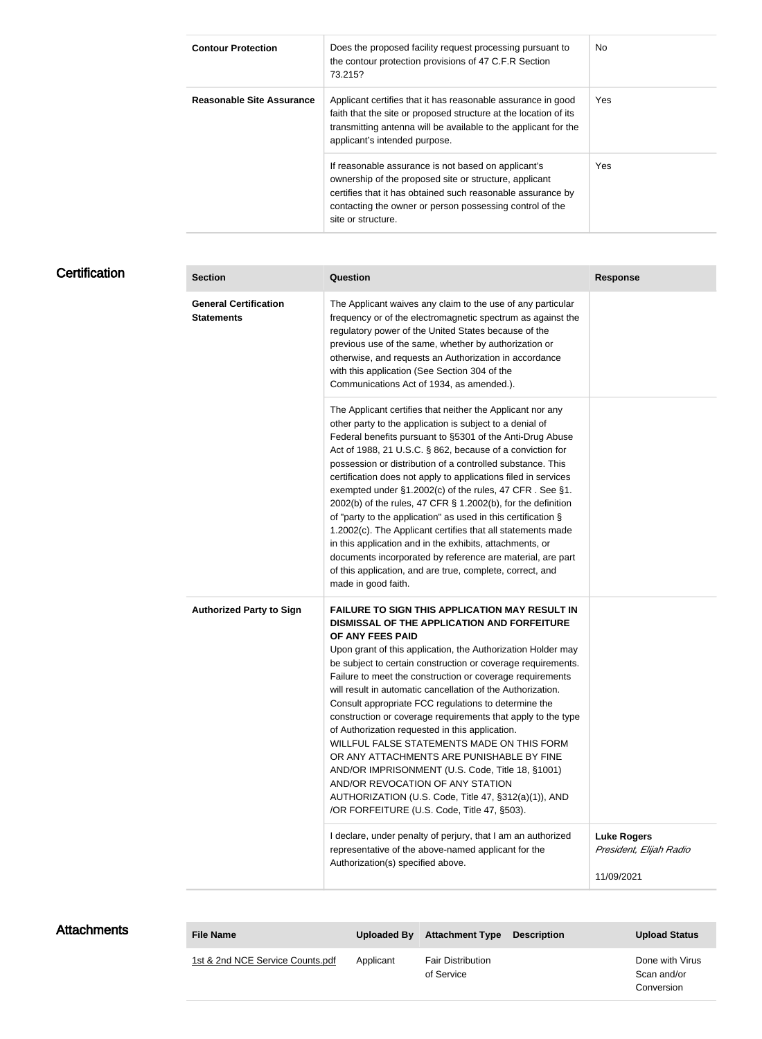| <b>Contour Protection</b>        | Does the proposed facility request processing pursuant to<br>the contour protection provisions of 47 C.F.R Section<br>73.215?                                                                                                                                  | <b>No</b> |
|----------------------------------|----------------------------------------------------------------------------------------------------------------------------------------------------------------------------------------------------------------------------------------------------------------|-----------|
| <b>Reasonable Site Assurance</b> | Applicant certifies that it has reasonable assurance in good<br>faith that the site or proposed structure at the location of its<br>transmitting antenna will be available to the applicant for the<br>applicant's intended purpose.                           | Yes       |
|                                  | If reasonable assurance is not based on applicant's<br>ownership of the proposed site or structure, applicant<br>certifies that it has obtained such reasonable assurance by<br>contacting the owner or person possessing control of the<br>site or structure. | Yes       |

# **Certification**

| <b>Section</b>                                    | <b>Question</b>                                                                                                                                                                                                                                                                                                                                                                                                                                                                                                                                                                                                                                                                                                                                                                                                                                           | <b>Response</b>                                             |
|---------------------------------------------------|-----------------------------------------------------------------------------------------------------------------------------------------------------------------------------------------------------------------------------------------------------------------------------------------------------------------------------------------------------------------------------------------------------------------------------------------------------------------------------------------------------------------------------------------------------------------------------------------------------------------------------------------------------------------------------------------------------------------------------------------------------------------------------------------------------------------------------------------------------------|-------------------------------------------------------------|
| <b>General Certification</b><br><b>Statements</b> | The Applicant waives any claim to the use of any particular<br>frequency or of the electromagnetic spectrum as against the<br>regulatory power of the United States because of the<br>previous use of the same, whether by authorization or<br>otherwise, and requests an Authorization in accordance<br>with this application (See Section 304 of the<br>Communications Act of 1934, as amended.).                                                                                                                                                                                                                                                                                                                                                                                                                                                       |                                                             |
|                                                   | The Applicant certifies that neither the Applicant nor any<br>other party to the application is subject to a denial of<br>Federal benefits pursuant to §5301 of the Anti-Drug Abuse<br>Act of 1988, 21 U.S.C. § 862, because of a conviction for<br>possession or distribution of a controlled substance. This<br>certification does not apply to applications filed in services<br>exempted under §1.2002(c) of the rules, 47 CFR. See §1.<br>2002(b) of the rules, 47 CFR § 1.2002(b), for the definition<br>of "party to the application" as used in this certification §<br>1.2002(c). The Applicant certifies that all statements made<br>in this application and in the exhibits, attachments, or<br>documents incorporated by reference are material, are part<br>of this application, and are true, complete, correct, and<br>made in good faith. |                                                             |
| <b>Authorized Party to Sign</b>                   | FAILURE TO SIGN THIS APPLICATION MAY RESULT IN<br>DISMISSAL OF THE APPLICATION AND FORFEITURE<br>OF ANY FEES PAID<br>Upon grant of this application, the Authorization Holder may<br>be subject to certain construction or coverage requirements.<br>Failure to meet the construction or coverage requirements<br>will result in automatic cancellation of the Authorization.<br>Consult appropriate FCC regulations to determine the<br>construction or coverage requirements that apply to the type<br>of Authorization requested in this application.<br>WILLFUL FALSE STATEMENTS MADE ON THIS FORM<br>OR ANY ATTACHMENTS ARE PUNISHABLE BY FINE<br>AND/OR IMPRISONMENT (U.S. Code, Title 18, §1001)<br>AND/OR REVOCATION OF ANY STATION<br>AUTHORIZATION (U.S. Code, Title 47, §312(a)(1)), AND<br>/OR FORFEITURE (U.S. Code, Title 47, §503).        |                                                             |
|                                                   | I declare, under penalty of perjury, that I am an authorized<br>representative of the above-named applicant for the<br>Authorization(s) specified above.                                                                                                                                                                                                                                                                                                                                                                                                                                                                                                                                                                                                                                                                                                  | <b>Luke Rogers</b><br>President, Elijah Radio<br>11/09/2021 |

| <b>File Name</b>                 | Uploaded By | <b>Attachment Type</b>                 | <b>Description</b> | <b>Upload Status</b>                         |
|----------------------------------|-------------|----------------------------------------|--------------------|----------------------------------------------|
| 1st & 2nd NCE Service Counts.pdf | Applicant   | <b>Fair Distribution</b><br>of Service |                    | Done with Virus<br>Scan and/or<br>Conversion |

**Attachments**